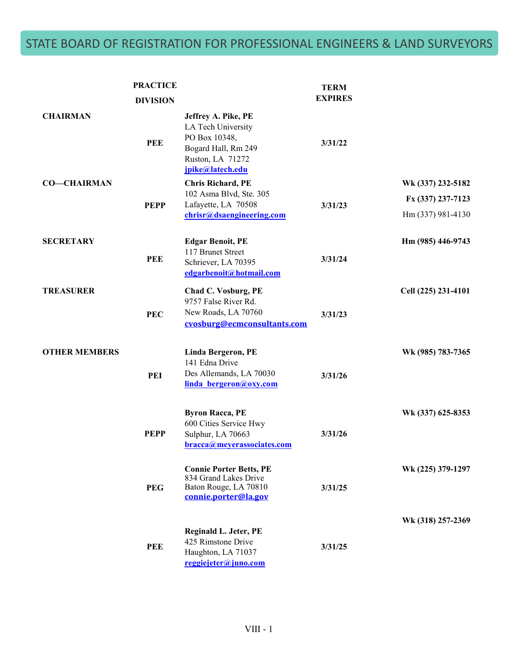## STATE BOARD OF REGISTRATION FOR PROFESSIONAL ENGINEERS & LAND SURVEYORS

|                      | <b>PRACTICE</b><br><b>DIVISION</b> |                                                                                                                           | <b>TERM</b><br><b>EXPIRES</b> |                                                             |
|----------------------|------------------------------------|---------------------------------------------------------------------------------------------------------------------------|-------------------------------|-------------------------------------------------------------|
| <b>CHAIRMAN</b>      | <b>PEE</b>                         | Jeffrey A. Pike, PE<br>LA Tech University<br>PO Box 10348,<br>Bogard Hall, Rm 249<br>Ruston, LA 71272<br>jpike@latech.edu | 3/31/22                       |                                                             |
| <b>CO-CHAIRMAN</b>   | <b>PEPP</b>                        | <b>Chris Richard, PE</b><br>102 Asma Blvd, Ste. 305<br>Lafayette, LA 70508<br>chrisr@dsaengineering.com                   | 3/31/23                       | Wk (337) 232-5182<br>Fx (337) 237-7123<br>Hm (337) 981-4130 |
| <b>SECRETARY</b>     | <b>PEE</b>                         | <b>Edgar Benoit, PE</b><br>117 Brunet Street<br>Schriever, LA 70395<br>edgarbenoit@hotmail.com                            | 3/31/24                       | Hm (985) 446-9743                                           |
| <b>TREASURER</b>     | <b>PEC</b>                         | Chad C. Vosburg, PE<br>9757 False River Rd.<br>New Roads, LA 70760<br>cvosburg@ecmconsultants.com                         | 3/31/23                       | Cell (225) 231-4101                                         |
| <b>OTHER MEMBERS</b> | PEI                                | <b>Linda Bergeron, PE</b><br>141 Edna Drive<br>Des Allemands, LA 70030<br>linda bergeron@oxy.com                          | 3/31/26                       | Wk (985) 783-7365                                           |
|                      | <b>PEPP</b>                        | <b>Byron Racca, PE</b><br>600 Cities Service Hwy<br>Sulphur, LA 70663<br>bracca@meyerassociates.com                       | 3/31/26                       | Wk (337) 625-8353                                           |
|                      | <b>PEG</b>                         | <b>Connie Porter Betts, PE</b><br>834 Grand Lakes Drive<br>Baton Rouge, LA 70810<br>connie.porter@la.gov                  | 3/31/25                       | Wk (225) 379-1297                                           |
|                      | <b>PEE</b>                         | Reginald L. Jeter, PE<br>425 Rimstone Drive<br>Haughton, LA 71037<br>reggiejeter@juno.com                                 | 3/31/25                       | Wk (318) 257-2369                                           |